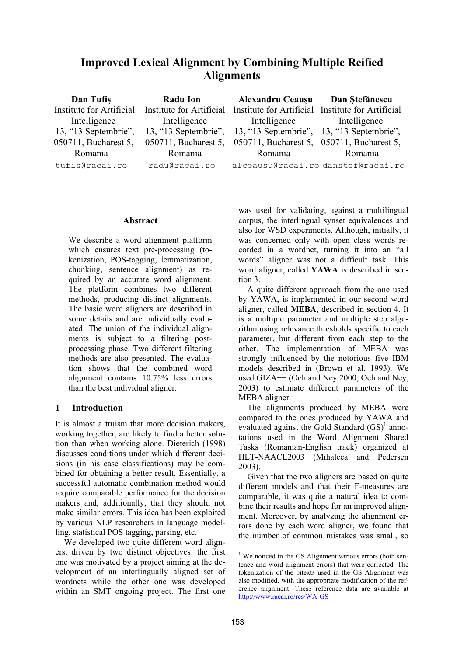# **Improved Lexical Alignment by Combining Multiple Reified Alignments**

| Dan Tufiş                | Radu Ion                 | <b>Alexandru Ceauşu</b>                                        | Dan Stefănescu |
|--------------------------|--------------------------|----------------------------------------------------------------|----------------|
| Institute for Artificial | Institute for Artificial | Institute for Artificial Institute for Artificial              |                |
| Intelligence             | Intelligence             | Intelligence Intelligence                                      |                |
| 13, "13 Septembrie",     |                          | 13, "13 Septembrie", 13, "13 Septembrie", 13, "13 Septembrie", |                |
| 050711, Bucharest 5,     | 050711, Bucharest 5,     | 050711, Bucharest 5, 050711, Bucharest 5,                      |                |
| Romania                  | Romania                  | Romania                                                        | Romania        |
| tufis@racai.ro           | radu@racai.ro            | alceausu@racai.ro danstef@racai.ro                             |                |

### **Abstract**

We describe a word alignment platform which ensures text pre-processing (tokenization, POS-tagging, lemmatization, chunking, sentence alignment) as required by an accurate word alignment. The platform combines two different methods, producing distinct alignments. The basic word aligners are described in some details and are individually evaluated. The union of the individual alignments is subject to a filtering postprocessing phase. Two different filtering methods are also presented. The evaluation shows that the combined word alignment contains 10.75% less errors than the best individual aligner.

## **1 Introduction**

It is almost a truism that more decision makers, working together, are likely to find a better solution than when working alone. Dieterich (1998) discusses conditions under which different decisions (in his case classifications) may be combined for obtaining a better result. Essentially, a successful automatic combination method would require comparable performance for the decision makers and, additionally, that they should not make similar errors. This idea has been exploited by various NLP researchers in language modelling, statistical POS tagging, parsing, etc.

We developed two quite different word aligners, driven by two distinct objectives: the first one was motivated by a project aiming at the development of an interlingually aligned set of wordnets while the other one was developed within an SMT ongoing project. The first one

was used for validating, against a multilingual corpus, the interlingual synset equivalences and also for WSD experiments. Although, initially, it was concerned only with open class words recorded in a wordnet, turning it into an "all words" aligner was not a difficult task. This word aligner, called **YAWA** is described in section 3.

A quite different approach from the one used by YAWA, is implemented in our second word aligner, called **MEBA**, described in section 4. It is a multiple parameter and multiple step algorithm using relevance thresholds specific to each parameter, but different from each step to the other. The implementation of MEBA was strongly influenced by the notorious five IBM models described in (Brown et al. 1993). We used GIZA++ (Och and Ney 2000; Och and Ney, 2003) to estimate different parameters of the MEBA aligner.

The alignments produced by MEBA were compared to the ones produced by YAWA and evaluated against the Gold Standard  $(GS)^{1}$  annotations used in the Word Alignment Shared Tasks (Romanian-English track) organized at HLT-NAACL2003 (Mihalcea and Pedersen 2003).

Given that the two aligners are based on quite different models and that their F-measures are comparable, it was quite a natural idea to combine their results and hope for an improved alignment. Moreover, by analyzing the alignment errors done by each word aligner, we found that the number of common mistakes was small, so

<sup>&</sup>lt;sup>1</sup> We noticed in the GS Alignment various errors (both sentence and word alignment errors) that were corrected. The tokenization of the bitexts used in the GS Alignment was also modified, with the appropriate modification of the reference alignment. These reference data are available at http://www.racai.ro/res/WA-GS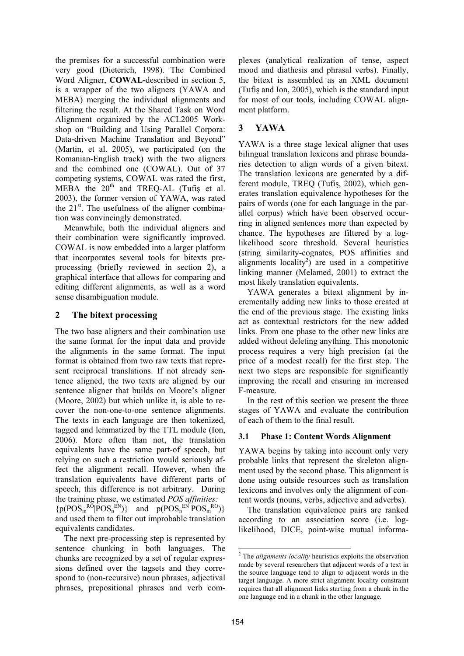the premises for a successful combination were very good (Dieterich, 1998). The Combined Word Aligner, **COWAL-**described in section 5, is a wrapper of the two aligners (YAWA and MEBA) merging the individual alignments and filtering the result. At the Shared Task on Word Alignment organized by the ACL2005 Workshop on "Building and Using Parallel Corpora: Data-driven Machine Translation and Beyond" (Martin, et al. 2005), we participated (on the Romanian-English track) with the two aligners and the combined one (COWAL). Out of 37 competing systems, COWAL was rated the first, MEBA the  $20^{th}$  and TREQ-AL (Tufis et al. 2003), the former version of YAWA, was rated the  $21<sup>st</sup>$ . The usefulness of the aligner combination was convincingly demonstrated.

Meanwhile, both the individual aligners and their combination were significantly improved. COWAL is now embedded into a larger platform that incorporates several tools for bitexts preprocessing (briefly reviewed in section 2), a graphical interface that allows for comparing and editing different alignments, as well as a word sense disambiguation module.

## **2 The bitext processing**

The two base aligners and their combination use the same format for the input data and provide the alignments in the same format. The input format is obtained from two raw texts that represent reciprocal translations. If not already sentence aligned, the two texts are aligned by our sentence aligner that builds on Moore's aligner (Moore, 2002) but which unlike it, is able to recover the non-one-to-one sentence alignments. The texts in each language are then tokenized, tagged and lemmatized by the TTL module (Ion, 2006). More often than not, the translation equivalents have the same part-of speech, but relying on such a restriction would seriously affect the alignment recall. However, when the translation equivalents have different parts of speech, this difference is not arbitrary. During the training phase, we estimated *POS affinities:*   $\{p(POS_{m}^{RO}|POS_{n}^{EN})\}$  and  $p(POS_{n}^{EN}|POS_{m}^{RO})\}$ and used them to filter out improbable translation equivalents candidates.

The next pre-processing step is represented by sentence chunking in both languages. The chunks are recognized by a set of regular expressions defined over the tagsets and they correspond to (non-recursive) noun phrases, adjectival phrases, prepositional phrases and verb complexes (analytical realization of tense, aspect mood and diathesis and phrasal verbs). Finally, the bitext is assembled as an XML document (Tufis and Ion,  $2005$ ), which is the standard input for most of our tools, including COWAL alignment platform.

## **3 YAWA**

YAWA is a three stage lexical aligner that uses bilingual translation lexicons and phrase boundaries detection to align words of a given bitext. The translation lexicons are generated by a different module, TREQ (Tufiş, 2002), which generates translation equivalence hypotheses for the pairs of words (one for each language in the parallel corpus) which have been observed occurring in aligned sentences more than expected by chance. The hypotheses are filtered by a loglikelihood score threshold. Several heuristics (string similarity-cognates, POS affinities and alignments locality**<sup>2</sup>** ) are used in a competitive linking manner (Melamed, 2001) to extract the most likely translation equivalents.

YAWA generates a bitext alignment by incrementally adding new links to those created at the end of the previous stage. The existing links act as contextual restrictors for the new added links. From one phase to the other new links are added without deleting anything. This monotonic process requires a very high precision (at the price of a modest recall) for the first step. The next two steps are responsible for significantly improving the recall and ensuring an increased F-measure.

In the rest of this section we present the three stages of YAWA and evaluate the contribution of each of them to the final result.

## **3.1 Phase 1: Content Words Alignment**

YAWA begins by taking into account only very probable links that represent the skeleton alignment used by the second phase. This alignment is done using outside resources such as translation lexicons and involves only the alignment of content words (nouns, verbs, adjective and adverbs).

The translation equivalence pairs are ranked according to an association score (i.e. loglikelihood, DICE, point-wise mutual informa-

<sup>2</sup> The *alignments locality* heuristics exploits the observation made by several researchers that adjacent words of a text in the source language tend to align to adjacent words in the target language. A more strict alignment locality constraint requires that all alignment links starting from a chunk in the one language end in a chunk in the other language.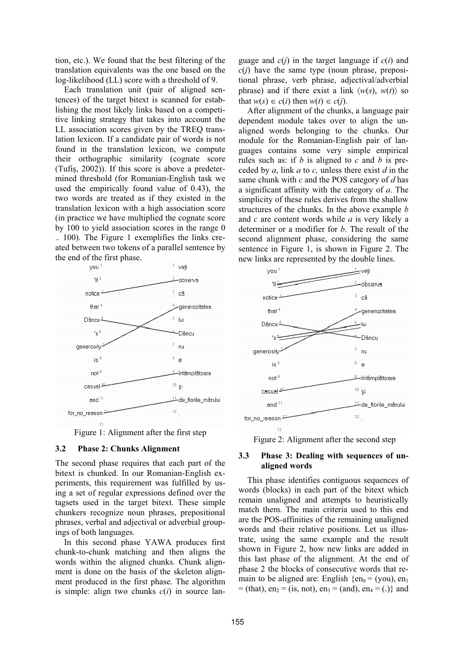tion, etc.). We found that the best filtering of the translation equivalents was the one based on the log-likelihood (LL) score with a threshold of 9.

Each translation unit (pair of aligned sentences) of the target bitext is scanned for establishing the most likely links based on a competitive linking strategy that takes into account the LL association scores given by the TREQ translation lexicon. If a candidate pair of words is not found in the translation lexicon, we compute their orthographic similarity (cognate score (Tufiş, 2002)). If this score is above a predetermined threshold (for Romanian-English task we used the empirically found value of 0.43), the two words are treated as if they existed in the translation lexicon with a high association score (in practice we have multiplied the cognate score by 100 to yield association scores in the range 0 .. 100). The Figure 1 exemplifies the links created between two tokens of a parallel sentence by the end of the first phase.



Figure 1: Alignment after the first step

#### **3.2 Phase 2: Chunks Alignment**

The second phase requires that each part of the bitext is chunked. In our Romanian-English experiments, this requirement was fulfilled by using a set of regular expressions defined over the tagsets used in the target bitext. These simple chunkers recognize noun phrases, prepositional phrases, verbal and adjectival or adverbial groupings of both languages.

In this second phase YAWA produces first chunk-to-chunk matching and then aligns the words within the aligned chunks. Chunk alignment is done on the basis of the skeleton alignment produced in the first phase. The algorithm is simple: align two chunks  $c(i)$  in source language and *c*(*j*) in the target language if *c*(*i*) and  $c(i)$  have the same type (noun phrase, prepositional phrase, verb phrase, adjectival/adverbial phrase) and if there exist a link  $\langle w(s), w(t) \rangle$  so that  $w(s) \in c(i)$  then  $w(t) \in c(i)$ .

After alignment of the chunks, a language pair dependent module takes over to align the unaligned words belonging to the chunks. Our module for the Romanian-English pair of languages contains some very simple empirical rules such as: if *b* is aligned to *c* and *b* is preceded by *a*, link *a* to *c,* unless there exist *d* in the same chunk with *c* and the POS category of *d* has a significant affinity with the category of *a*. The simplicity of these rules derives from the shallow structures of the chunks. In the above example *b* and *c* are content words while *a* is very likely a determiner or a modifier for *b*. The result of the second alignment phase, considering the same sentence in Figure 1, is shown in Figure 2. The new links are represented by the double lines.



### **3.3 Phase 3: Dealing with sequences of unaligned words**

This phase identifies contiguous sequences of words (blocks) in each part of the bitext which remain unaligned and attempts to heuristically match them. The main criteria used to this end are the POS-affinities of the remaining unaligned words and their relative positions. Let us illustrate, using the same example and the result shown in Figure 2, how new links are added in this last phase of the alignment. At the end of phase 2 the blocks of consecutive words that remain to be aligned are: English  $\{\text{en}_0 = (\text{you}), \text{en}_1\}$  $=$  (that), en<sub>2</sub> = (is, not), en<sub>3</sub> = (and), en<sub>4</sub> = (.)} and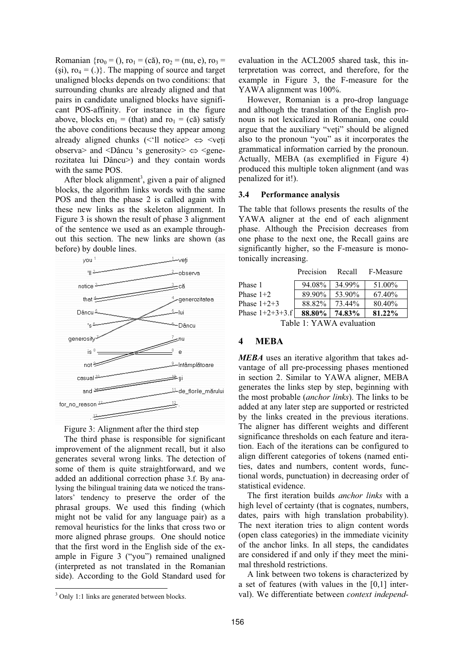Romanian { $ro_0 = ()$ ,  $ro_1 = (c\check{a})$ ,  $ro_2 = (nu, e)$ ,  $ro_3 =$ (si),  $ro_4 = (.)$ . The mapping of source and target unaligned blocks depends on two conditions: that surrounding chunks are already aligned and that pairs in candidate unaligned blocks have significant POS-affinity. For instance in the figure above, blocks en<sub>1</sub> = (that) and ro<sub>1</sub> = (că) satisfy the above conditions because they appear among already aligned chunks ( $\leq$ 'll notice $\geq$   $\iff$   $\leq$ veți observa> and <Dâncu 's generosity>  $\Leftrightarrow$  <generozitatea lui Dâncu>) and they contain words with the same POS.

After block alignment<sup>3</sup>, given a pair of aligned blocks, the algorithm links words with the same POS and then the phase 2 is called again with these new links as the skeleton alignment. In Figure 3 is shown the result of phase 3 alignment of the sentence we used as an example throughout this section. The new links are shown (as before) by double lines.





The third phase is responsible for significant improvement of the alignment recall, but it also generates several wrong links. The detection of some of them is quite straightforward, and we added an additional correction phase 3.f. By analysing the bilingual training data we noticed the translators' tendency to preserve the order of the phrasal groups. We used this finding (which might not be valid for any language pair) as a removal heuristics for the links that cross two or more aligned phrase groups. One should notice that the first word in the English side of the example in Figure 3 ("you") remained unaligned (interpreted as not translated in the Romanian side). According to the Gold Standard used for

evaluation in the ACL2005 shared task, this interpretation was correct, and therefore, for the example in Figure 3, the F-measure for the YAWA alignment was 100%.

However, Romanian is a pro-drop language and although the translation of the English pronoun is not lexicalized in Romanian, one could argue that the auxiliary "veți" should be aligned also to the pronoun "you" as it incorporates the grammatical information carried by the pronoun. Actually, MEBA (as exemplified in Figure 4) produced this multiple token alignment (and was penalized for it!).

#### **3.4 Performance analysis**

The table that follows presents the results of the YAWA aligner at the end of each alignment phase. Although the Precision decreases from one phase to the next one, the Recall gains are significantly higher, so the F-measure is monotonically increasing.

|                     | Precision | Recall | F-Measure |  |
|---------------------|-----------|--------|-----------|--|
| Phase 1             | 94.08%    | 34.99% | 51.00%    |  |
| Phase $1+2$         | 89.90%    | 53.90% | 67.40%    |  |
| Phase $1+2+3$       | 88.82%    | 73.44% | 80.40%    |  |
| Phase $1+2+3+3$ .fl | 88.80%    | 74.83% | 81.22%    |  |
|                     |           |        |           |  |

Table 1: YAWA evaluation

### **4 MEBA**

*MEBA* uses an iterative algorithm that takes advantage of all pre-processing phases mentioned in section 2. Similar to YAWA aligner, MEBA generates the links step by step, beginning with the most probable (*anchor links*). The links to be added at any later step are supported or restricted by the links created in the previous iterations. The aligner has different weights and different significance thresholds on each feature and iteration. Each of the iterations can be configured to align different categories of tokens (named entities, dates and numbers, content words, functional words, punctuation) in decreasing order of statistical evidence.

The first iteration builds *anchor links* with a high level of certainty (that is cognates, numbers, dates, pairs with high translation probability). The next iteration tries to align content words (open class categories) in the immediate vicinity of the anchor links. In all steps, the candidates are considered if and only if they meet the minimal threshold restrictions.

A link between two tokens is characterized by a set of features (with values in the [0,1] interval). We differentiate between *context independ-*

<sup>&</sup>lt;sup>3</sup> Only 1:1 links are generated between blocks.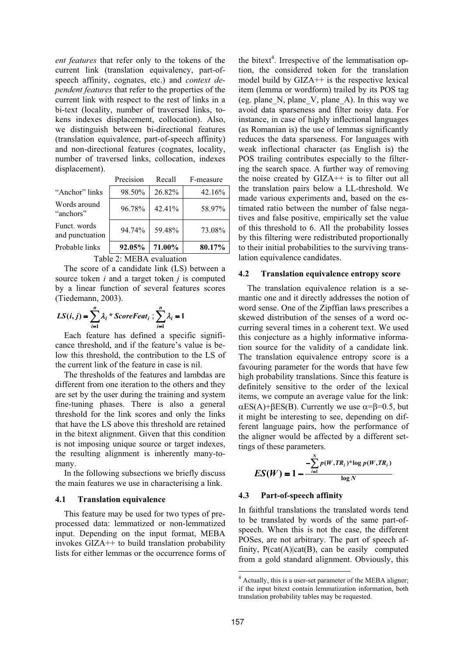*ent features* that refer only to the tokens of the current link (translation equivalency, part-ofspeech affinity, cognates, etc.) and *context dependent features* that refer to the properties of the current link with respect to the rest of links in a bi-text (locality, number of traversed links, tokens indexes displacement, collocation). Also, we distinguish between bi-directional features (translation equivalence, part-of-speech affinity) and non-directional features (cognates, locality, number of traversed links, collocation, indexes displacement).

|                                 | Precision        | Recall | F-measure |  |
|---------------------------------|------------------|--------|-----------|--|
| "Anchor" links                  | 98.50%           | 26.82% | 42.16%    |  |
| Words around<br>"anchors"       | 96.78%<br>42.41% |        | 58.97%    |  |
| Funct. words<br>and punctuation | 94.74%           | 59.48% | 73.08%    |  |
| Probable links                  | 92.05%           | 71.00% | 80.17%    |  |
| E 1 1                           |                  |        |           |  |

Table 2: MEBA evaluation

The score of a candidate link (LS) between a source token *i* and a target token *j* is computed by a linear function of several features scores (Tiedemann, 2003).

$$
LS(i, j) = \sum_{i=1}^{n} \lambda_i * ScoreFeat_i ; \sum_{i=1}^{n} \lambda_i = 1
$$

Each feature has defined a specific significance threshold, and if the feature's value is below this threshold, the contribution to the LS of the current link of the feature in case is nil.

The thresholds of the features and lambdas are different from one iteration to the others and they are set by the user during the training and system fine-tuning phases. There is also a general threshold for the link scores and only the links that have the LS above this threshold are retained in the bitext alignment. Given that this condition is not imposing unique source or target indexes, the resulting alignment is inherently many-tomany.

In the following subsections we briefly discuss the main features we use in characterising a link.

#### **4.1 Translation equivalence**

This feature may be used for two types of preprocessed data: lemmatized or non-lemmatized input. Depending on the input format, MEBA invokes GIZA++ to build translation probability lists for either lemmas or the occurrence forms of

the bitext<sup>4</sup>. Irrespective of the lemmatisation option, the considered token for the translation model build by GIZA++ is the respective lexical item (lemma or wordform) trailed by its POS tag (eg. plane\_N, plane\_V, plane\_A). In this way we avoid data sparseness and filter noisy data. For instance, in case of highly inflectional languages (as Romanian is) the use of lemmas significantly reduces the data sparseness. For languages with weak inflectional character (as English is) the POS trailing contributes especially to the filtering the search space. A further way of removing the noise created by GIZA++ is to filter out all the translation pairs below a LL-threshold. We made various experiments and, based on the estimated ratio between the number of false negatives and false positive, empirically set the value of this threshold to 6. All the probability losses by this filtering were redistributed proportionally to their initial probabilities to the surviving translation equivalence candidates.

#### **4.2 Translation equivalence entropy score**

The translation equivalence relation is a semantic one and it directly addresses the notion of word sense. One of the Zipffian laws prescribes a skewed distribution of the senses of a word occurring several times in a coherent text. We used this conjecture as a highly informative information source for the validity of a candidate link. The translation equivalence entropy score is a favouring parameter for the words that have few high probability translations. Since this feature is definitely sensitive to the order of the lexical items, we compute an average value for the link:  $\alpha$ ES(A)+BES(B). Currently we use  $\alpha$ =B=0.5, but it might be interesting to see, depending on different language pairs, how the performance of the aligner would be affected by a different settings of these parameters.

$$
ES(W) = 1 - \frac{-\sum_{i=1}^{N} p(W, TR_i)^* \log p(W, TR_i)}{\log N}
$$

#### **4.3 Part-of-speech affinity**

In faithful translations the translated words tend to be translated by words of the same part-ofspeech. When this is not the case, the different POSes, are not arbitrary. The part of speech affinity,  $P(cat(A)|cat(B))$ , can be easily computed from a gold standard alignment. Obviously, this

<sup>4</sup> Actually, this is a user-set parameter of the MEBA aligner; if the input bitext contain lemmatization information, both translation probability tables may be requested.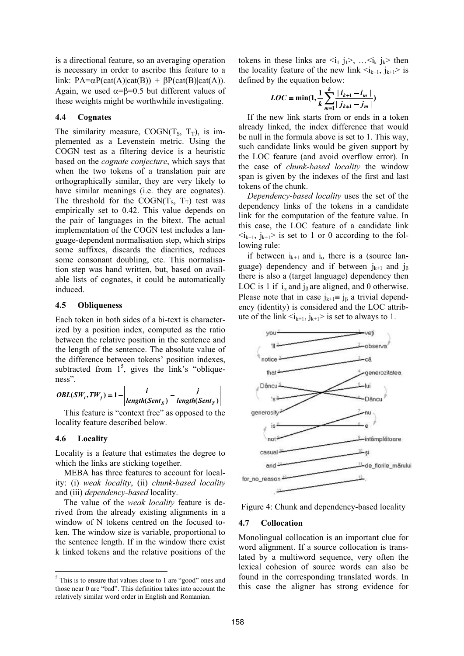is a directional feature, so an averaging operation is necessary in order to ascribe this feature to a link:  $PA = \alpha P(cat(A)|cat(B)) + \beta P(cat(B)|cat(A)).$ Again, we used  $\alpha = \beta = 0.5$  but different values of these weights might be worthwhile investigating.

### **4.4 Cognates**

The similarity measure, COGN( $T_s$ ,  $T_T$ ), is implemented as a Levenstein metric. Using the COGN test as a filtering device is a heuristic based on the *cognate conjecture*, which says that when the two tokens of a translation pair are orthographically similar, they are very likely to have similar meanings (i.e. they are cognates). The threshold for the COGN( $T_s$ ,  $T_T$ ) test was empirically set to 0.42. This value depends on the pair of languages in the bitext. The actual implementation of the COGN test includes a language-dependent normalisation step, which strips some suffixes, discards the diacritics, reduces some consonant doubling, etc. This normalisation step was hand written, but, based on available lists of cognates, it could be automatically induced.

#### **4.5 Obliqueness**

Each token in both sides of a bi-text is characterized by a position index, computed as the ratio between the relative position in the sentence and the length of the sentence. The absolute value of the difference between tokens' position indexes, subtracted from  $1<sup>5</sup>$ , gives the link's "obliqueness".

$$
OBL(SW_i, TW_j) = 1 - \left| \frac{i}{length(Sent_S)} - \frac{j}{length(Sent_T)} \right|
$$

This feature is "context free" as opposed to the locality feature described below.

#### **4.6 Locality**

Locality is a feature that estimates the degree to which the links are sticking together.

MEBA has three features to account for locality: (i) *weak locality*, (ii) *chunk-based locality* and (iii) *dependency-based* locality.

The value of the *weak locality* feature is derived from the already existing alignments in a window of N tokens centred on the focused token. The window size is variable, proportional to the sentence length. If in the window there exist k linked tokens and the relative positions of the tokens in these links are  $\langle i_1 \, j_1 \rangle$ , ... $\langle i_k \, j_k \rangle$  then the locality feature of the new link  $\langle i_{k+1}, j_{k+1} \rangle$  is defined by the equation below:

$$
LOC = \min(1, \frac{1}{k} \sum_{m=1}^{k} \frac{|i_{k+1} - i_m|}{|j_{k+1} - j_m|})
$$

If the new link starts from or ends in a token already linked, the index difference that would be null in the formula above is set to 1. This way, such candidate links would be given support by the LOC feature (and avoid overflow error). In the case of *chunk-based locality* the window span is given by the indexes of the first and last tokens of the chunk.

*Dependency-based locality* uses the set of the dependency links of the tokens in a candidate link for the computation of the feature value. In this case, the LOC feature of a candidate link  $\langle i_{k+1}, i_{k+1} \rangle$  is set to 1 or 0 according to the following rule:

if between  $i_{k+1}$  and  $i_{\alpha}$  there is a (source language) dependency and if between  $j_{k+1}$  and  $j_{\beta}$ there is also a (target language) dependency then LOC is 1 if  $i_{\alpha}$  and  $j_{\beta}$  are aligned, and 0 otherwise. Please note that in case  $j_{k+1} \equiv j_0$  a trivial dependency (identity) is considered and the LOC attribute of the link  $\langle i_{k+1}, j_{k+1} \rangle$  is set to always to 1.



Figure 4: Chunk and dependency-based locality

#### **4.7 Collocation**

Monolingual collocation is an important clue for word alignment. If a source collocation is translated by a multiword sequence, very often the lexical cohesion of source words can also be found in the corresponding translated words. In this case the aligner has strong evidence for

 $<sup>5</sup>$  This is to ensure that values close to 1 are "good" ones and</sup> those near 0 are "bad". This definition takes into account the relatively similar word order in English and Romanian.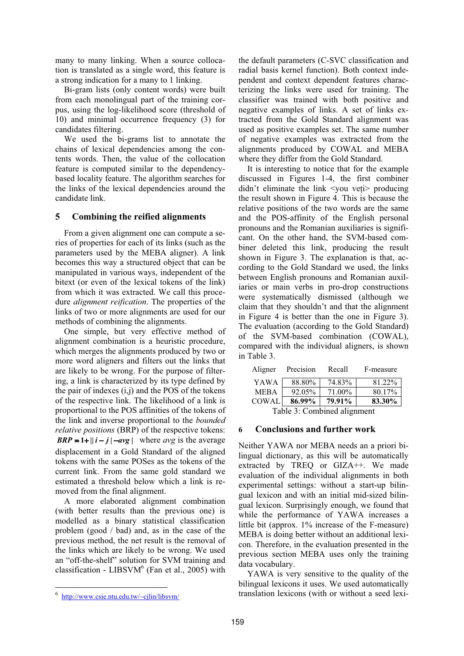many to many linking. When a source collocation is translated as a single word, this feature is a strong indication for a many to 1 linking.

Bi-gram lists (only content words) were built from each monolingual part of the training corpus, using the log-likelihood score (threshold of 10) and minimal occurrence frequency (3) for candidates filtering.

We used the bi-grams list to annotate the chains of lexical dependencies among the contents words. Then, the value of the collocation feature is computed similar to the dependencybased locality feature. The algorithm searches for the links of the lexical dependencies around the candidate link.

## **5 Combining the reified alignments**

From a given alignment one can compute a series of properties for each of its links (such as the parameters used by the MEBA aligner). A link becomes this way a structured object that can be manipulated in various ways, independent of the bitext (or even of the lexical tokens of the link) from which it was extracted. We call this procedure *alignment reification*. The properties of the links of two or more alignments are used for our methods of combining the alignments.

One simple, but very effective method of alignment combination is a heuristic procedure, which merges the alignments produced by two or more word aligners and filters out the links that are likely to be wrong. For the purpose of filtering, a link is characterized by its type defined by the pair of indexes (i,j) and the POS of the tokens of the respective link. The likelihood of a link is proportional to the POS affinities of the tokens of the link and inverse proportional to the *bounded relative positions* (BRP) of the respective tokens: *BRP* **= 1+** $\|\mathbf{i} - \mathbf{j}\|$  **-avg | where avg is the average** displacement in a Gold Standard of the aligned tokens with the same POSes as the tokens of the current link. From the same gold standard we estimated a threshold below which a link is removed from the final alignment.

A more elaborated alignment combination (with better results than the previous one) is modelled as a binary statistical classification problem (good / bad) and, as in the case of the previous method, the net result is the removal of the links which are likely to be wrong. We used an "off-the-shelf" solution for SVM training and classification - LIBSVM $<sup>6</sup>$  (Fan et al., 2005) with</sup> the default parameters (C-SVC classification and radial basis kernel function). Both context independent and context dependent features characterizing the links were used for training. The classifier was trained with both positive and negative examples of links. A set of links extracted from the Gold Standard alignment was used as positive examples set. The same number of negative examples was extracted from the alignments produced by COWAL and MEBA where they differ from the Gold Standard.

It is interesting to notice that for the example discussed in Figures 1-4, the first combiner didn't eliminate the link  $\langle \rangle$ you veți $>$  producing the result shown in Figure 4. This is because the relative positions of the two words are the same and the POS-affinity of the English personal pronouns and the Romanian auxiliaries is significant. On the other hand, the SVM-based combiner deleted this link, producing the result shown in Figure 3. The explanation is that, according to the Gold Standard we used, the links between English pronouns and Romanian auxiliaries or main verbs in pro-drop constructions were systematically dismissed (although we claim that they shouldn't and that the alignment in Figure 4 is better than the one in Figure 3). The evaluation (according to the Gold Standard) of the SVM-based combination (COWAL), compared with the individual aligners, is shown in Table 3.

| Aligner                     | Precision | Recall | F-measure |  |  |
|-----------------------------|-----------|--------|-----------|--|--|
| YAWA                        | 88.80%    | 74.83% | 81.22%    |  |  |
| <b>MEBA</b>                 | 92.05%    | 71.00% | 80.17%    |  |  |
| <b>COWAL</b>                | 86.99%    | 79.91% | 83.30%    |  |  |
| Table 3: Combined alignment |           |        |           |  |  |

## **6 Conclusions and further work**

Neither YAWA nor MEBA needs an a priori bilingual dictionary, as this will be automatically extracted by TREO or GIZA<sup>++</sup>. We made evaluation of the individual alignments in both experimental settings: without a start-up bilingual lexicon and with an initial mid-sized bilingual lexicon. Surprisingly enough, we found that while the performance of YAWA increases a little bit (approx. 1% increase of the F-measure) MEBA is doing better without an additional lexicon. Therefore, in the evaluation presented in the previous section MEBA uses only the training data vocabulary.

YAWA is very sensitive to the quality of the bilingual lexicons it uses. We used automatically translation lexicons (with or without a seed lexi-

<sup>&</sup>lt;sup>6</sup> http://www.csie.ntu.edu.tw/~cjlin/libsvm/